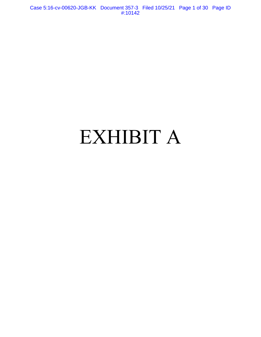Case 5:16-cv-00620-JGB-KK Document 357-3 Filed 10/25/21 Page 1 of 30 Page ID #:10142

# EXHIBIT A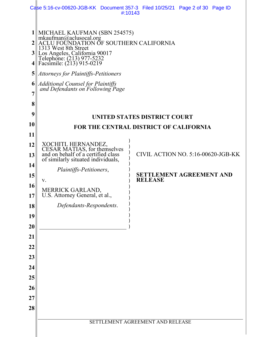|                                       |                                                                                                                                                                                                                                                                                                                                      | Case 5:16-cv-00620-JGB-KK Document 357-3 Filed 10/25/21 Page 2 of 30 Page ID<br>#:10143 |
|---------------------------------------|--------------------------------------------------------------------------------------------------------------------------------------------------------------------------------------------------------------------------------------------------------------------------------------------------------------------------------------|-----------------------------------------------------------------------------------------|
| $\mathbf{3}$<br>4<br>5<br>6<br>7<br>8 | MICHAEL KAUFMAN (SBN 254575)<br>mkaufman@aclusocal.org<br>ACLU FOUNDATION OF SOUTHERN CALIFORNIA<br>1313 West 8th Street<br>Los Angeles, California 90017<br>Telephone: (213) 977-5232<br>Facsimile: (213) 915-0219<br>Attorneys for Plaintiffs-Petitioners<br>Additional Counsel for Plaintiffs<br>and Defendants on Following Page |                                                                                         |
| 9                                     |                                                                                                                                                                                                                                                                                                                                      | UNITED STATES DISTRICT COURT                                                            |
| 10<br>11                              |                                                                                                                                                                                                                                                                                                                                      | <b>FOR THE CENTRAL DISTRICT OF CALIFORNIA</b>                                           |
| 12                                    |                                                                                                                                                                                                                                                                                                                                      |                                                                                         |
| 13                                    | XOCHITL HERNANDEZ,<br>CESAR MATIAS, for themselves<br>and on behalf of a certified class<br>of similarly situated individuals,                                                                                                                                                                                                       | CIVIL ACTION NO. 5:16-00620-JGB-KK                                                      |
| 14                                    | Plaintiffs-Petitioners,                                                                                                                                                                                                                                                                                                              |                                                                                         |
| 15                                    | V.                                                                                                                                                                                                                                                                                                                                   | <b>SETTLEMENT AGREEMENT AND</b><br><b>RELEASE</b>                                       |
| 16                                    |                                                                                                                                                                                                                                                                                                                                      |                                                                                         |
| 17 <sup>1</sup>                       | MERRICK GARLAND,<br>U.S. Attorney General, et al.,                                                                                                                                                                                                                                                                                   |                                                                                         |
| 18                                    | Defendants-Respondents.                                                                                                                                                                                                                                                                                                              |                                                                                         |
| 19                                    |                                                                                                                                                                                                                                                                                                                                      |                                                                                         |
| 20                                    |                                                                                                                                                                                                                                                                                                                                      |                                                                                         |
| 21                                    |                                                                                                                                                                                                                                                                                                                                      |                                                                                         |
| 22<br>23                              |                                                                                                                                                                                                                                                                                                                                      |                                                                                         |
| 24                                    |                                                                                                                                                                                                                                                                                                                                      |                                                                                         |
| 25                                    |                                                                                                                                                                                                                                                                                                                                      |                                                                                         |
| 26                                    |                                                                                                                                                                                                                                                                                                                                      |                                                                                         |
| 27                                    |                                                                                                                                                                                                                                                                                                                                      |                                                                                         |
| 28                                    |                                                                                                                                                                                                                                                                                                                                      |                                                                                         |
|                                       |                                                                                                                                                                                                                                                                                                                                      | SETTLEMENT AGREEMENT AND RELEASE                                                        |
|                                       |                                                                                                                                                                                                                                                                                                                                      |                                                                                         |
|                                       |                                                                                                                                                                                                                                                                                                                                      |                                                                                         |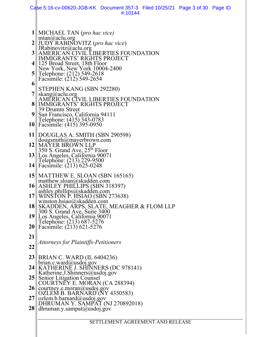|                                                       | Case 5:16-cv-00620-JGB-KK Document 357-3 Filed 10/25/21 Page 3 of 30 Page ID<br>#:10144                                                                                                                                                                                                                                                                                                                                                                                                                       |  |  |  |
|-------------------------------------------------------|---------------------------------------------------------------------------------------------------------------------------------------------------------------------------------------------------------------------------------------------------------------------------------------------------------------------------------------------------------------------------------------------------------------------------------------------------------------------------------------------------------------|--|--|--|
| 3 <sup>1</sup><br>41<br>5 <sup>1</sup><br>6<br>8<br>9 | MICHAEL TAN (pro hac vice)<br>mtan@aclu.org<br><b>JUDY RABINOVITZ</b> (pro hac vice)<br>JRabinovitz@aclu.org<br><b>AMERICAN CIVIL</b><br>IBERTIES FOUNDATION<br><b>IMMIGRANTS' RIGHTS PROJECT</b><br>125 Broad Street, 18th Floor<br>New York, New York 10004-2400<br>Telephone: (212) 549-2618<br>Facsimile: (212) 549-2654<br>STEPHEN KANG (SBN 292280)<br>skang@aclu.org<br>AMERICAN CIVIL LIBERTIES FOUNDATION<br><b>IMMIGRANTS' RIGHTS PROJECT</b><br>39 Drumm Street<br>San Francisco, California 94111 |  |  |  |
| 12                                                    | 10 Telephone: (415) 343-0783<br>10 Facsimile: (415) 395-0950<br>11    DOUGLAS A. SMITH (SBN 290598)<br>dougsmith@mayerbrown.com<br> MAYER BROWN LLP<br>350 S. Grand Ave, 25 <sup>th</sup> Floor                                                                                                                                                                                                                                                                                                               |  |  |  |
| 16                                                    | 13 Los Angeles, California 90071<br>Telephone: (213) 229-9500<br>14 Facsimile: $(213)$ 625-0248<br>15    MATTHEW E. SLOAN (SBN 165165)<br>matthew.sloan@skadden.com<br>ASHLEY PHILLIPS (SBN 318397)                                                                                                                                                                                                                                                                                                           |  |  |  |
| 17 <sub>II</sub><br>18<br><u>19 </u>                  | ashley.phillips@skadden.com<br>WINSTON P. HSIAO (SBN 273638)<br>winston.hsiao@skadden.com<br>SKADDEN, ARPS, SLATE, MEAGHER & FLOM LLP<br>300 S. Grand Ave, Suite 3400                                                                                                                                                                                                                                                                                                                                         |  |  |  |
| <b>20</b><br>21<br>22                                 | Los Angeles, California 90071<br>Telephone: (213) 687-5276<br>Facsimile: (213) 621-5276<br>Attorneys for Plaintiffs-Petitioners                                                                                                                                                                                                                                                                                                                                                                               |  |  |  |
| 23<br>24 <sub>1</sub><br>25                           | BRIAN C. WARD (IL 6404236)<br>brian.c.ward@usdoj.gov<br>KATHERINE J. SHINNERS (DC 978141)<br>Katherine.J.Shinners@usdoj.gov<br><b>Senior Litigation Counsel</b><br>COURTNEY E. MORAN (CA 288394)                                                                                                                                                                                                                                                                                                              |  |  |  |
| 26<br>27<br>28                                        | courtney.e.moran@usdoj.gov<br>OZLEM B. BARNARD (NY 4350583)<br>ozlem.b.barnard@usdoj.gov<br>DHRUMAN Y. SAMPAT (NJ 270892018)<br>dhruman.y.sampat@usdoj.gov                                                                                                                                                                                                                                                                                                                                                    |  |  |  |
|                                                       | SETTLEMENT AGREEMENT AND RELEASE                                                                                                                                                                                                                                                                                                                                                                                                                                                                              |  |  |  |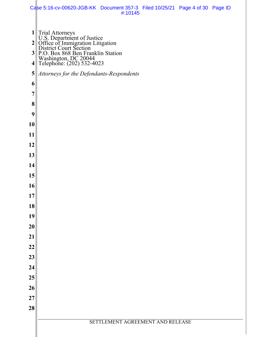|          | Case 5:16-cv-00620-JGB-KK Document 357-3 Filed 10/25/21 Page 4 of 30 Page ID                                                                                                                                             | #:10145                          |  |  |
|----------|--------------------------------------------------------------------------------------------------------------------------------------------------------------------------------------------------------------------------|----------------------------------|--|--|
| 5<br>6   | 1<br>U.S. Department of Justice<br>2<br>Office of Immigration Litigation<br>3<br>P.O. Box 868 Ben Franklin Station<br>Washington, DC 20044<br>4<br>Telephone: (202) 532-4023<br>Attorneys for the Defendants-Respondents |                                  |  |  |
| 7        |                                                                                                                                                                                                                          |                                  |  |  |
| 8        |                                                                                                                                                                                                                          |                                  |  |  |
| 9        |                                                                                                                                                                                                                          |                                  |  |  |
| 10       |                                                                                                                                                                                                                          |                                  |  |  |
| 11       |                                                                                                                                                                                                                          |                                  |  |  |
| 12       |                                                                                                                                                                                                                          |                                  |  |  |
| 13       |                                                                                                                                                                                                                          |                                  |  |  |
| 14       |                                                                                                                                                                                                                          |                                  |  |  |
| 15       |                                                                                                                                                                                                                          |                                  |  |  |
| 16       |                                                                                                                                                                                                                          |                                  |  |  |
| 17       |                                                                                                                                                                                                                          |                                  |  |  |
| 18       |                                                                                                                                                                                                                          |                                  |  |  |
| 19       |                                                                                                                                                                                                                          |                                  |  |  |
| 20<br>21 |                                                                                                                                                                                                                          |                                  |  |  |
| 22       |                                                                                                                                                                                                                          |                                  |  |  |
| 23       |                                                                                                                                                                                                                          |                                  |  |  |
| 24       |                                                                                                                                                                                                                          |                                  |  |  |
| 25       |                                                                                                                                                                                                                          |                                  |  |  |
| 26       |                                                                                                                                                                                                                          |                                  |  |  |
| 27       |                                                                                                                                                                                                                          |                                  |  |  |
| 28       |                                                                                                                                                                                                                          |                                  |  |  |
|          |                                                                                                                                                                                                                          | SETTLEMENT AGREEMENT AND RELEASE |  |  |
|          |                                                                                                                                                                                                                          |                                  |  |  |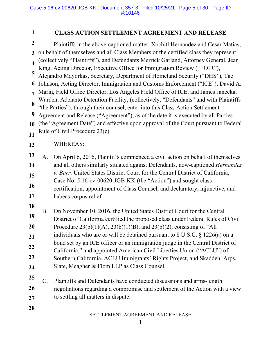## **CLASS ACTION SETTLEMENT AGREEMENT AND RELEASE**

**2 3** on behalf of themselves and all Class Members of the certified class they represent **4 5 6** Johnson, Acting Director, Immigration and Customs Enforcement ("ICE"), David A. **7 8 9 10 11** Plaintiffs in the above-captioned matter, Xochitl Hernandez and Cesar Matias, (collectively "Plaintiffs"), and Defendants Merrick Garland, Attorney General, Jean King, Acting Director, Executive Office for Immigration Review ("EOIR"), Alejandro Mayorkas, Secretary, Department of Homeland Security ("DHS"), Tae Marin, Field Office Director, Los Angeles Field Office of ICE, and James Janecka, Warden, Adelanto Detention Facility, (collectively, "Defendants" and with Plaintiffs "the Parties"), through their counsel, enter into this Class Action Settlement Agreement and Release ("Agreement"), as of the date it is executed by all Parties (the "Agreement Date") and effective upon approval of the Court pursuant to Federal Rule of Civil Procedure 23(e).

# **12**

**28** 

**1**

### WHEREAS:

**13 14 15 16 17** A. On April 6, 2016, Plaintiffs commenced a civil action on behalf of themselves and all others similarly situated against Defendants, now-captioned *Hernandez v. Barr,* United States District Court for the Central District of California, Case No. 5:16-cv-00620-JGB-KK (the "Action") and sought class certification, appointment of Class Counsel, and declaratory, injunctive, and habeas corpus relief.

**18 19 20 21 22 23 24** B. On November 10, 2016, the United States District Court for the Central District of California certified the proposed class under Federal Rules of Civil Procedure  $23(b)(1)(A)$ ,  $23(b)(1)(B)$ , and  $23(b)(2)$ , consisting of "All individuals who are or will be detained pursuant to 8 U.S.C. § 1226(a) on a bond set by an ICE officer or an immigration judge in the Central District of California," and appointed American Civil Liberties Union ("ACLU") of Southern California, ACLU Immigrants' Rights Project, and Skadden, Arps, Slate, Meagher & Flom LLP as Class Counsel.

**25 26 27** C. Plaintiffs and Defendants have conducted discussions and arms-length negotiations regarding a compromise and settlement of the Action with a view to settling all matters in dispute.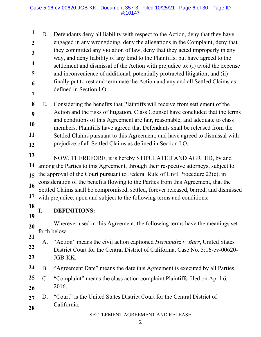#### Case 5:16-cv-00620-JGB-KK Document 357-3 Filed 10/25/21 Page 6 of 30 Page ID #:10147

**1 2 3 4 5 6 7**  D. Defendants deny all liability with respect to the Action, deny that they have engaged in any wrongdoing, deny the allegations in the Complaint, deny that they committed any violation of law, deny that they acted improperly in any way, and deny liability of any kind to the Plaintiffs, but have agreed to the settlement and dismissal of the Action with prejudice to: (i) avoid the expense and inconvenience of additional, potentially protracted litigation; and (ii) finally put to rest and terminate the Action and any and all Settled Claims as defined in Section I.O.

**8 9 10 11 12** E. Considering the benefits that Plaintiffs will receive from settlement of the Action and the risks of litigation, Class Counsel have concluded that the terms and conditions of this Agreement are fair, reasonable, and adequate to class members. Plaintiffs have agreed that Defendants shall be released from the Settled Claims pursuant to this Agreement; and have agreed to dismissal with prejudice of all Settled Claims as defined in Section I.O.

**13 14 15 16 17** NOW, THEREFORE, it is hereby STIPULATED AND AGREED, by and among the Parties to this Agreement, through their respective attorneys, subject to the approval of the Court pursuant to Federal Rule of Civil Procedure 23(e), in consideration of the benefits flowing to the Parties from this Agreement, that the Settled Claims shall be compromised, settled, forever released, barred, and dismissed with prejudice, upon and subject to the following terms and conditions:

**18**

**19**

## **I. DEFINITIONS:**

**20** Wherever used in this Agreement, the following terms have the meanings set forth below:

- **21 22 23** A. "Action" means the civil action captioned *Hernandez v. Barr*, United States District Court for the Central District of California, Case No. 5:16-cv-00620- JGB-KK.
- **24** B. "Agreement Date" means the date this Agreement is executed by all Parties.
- **25 26** C. "Complaint" means the class action complaint Plaintiffs filed on April 6, 2016.
- **27 28**  D. "Court" is the United States District Court for the Central District of California.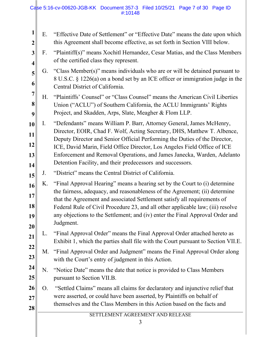#### Case 5:16-cv-00620-JGB-KK Document 357-3 Filed 10/25/21 Page 7 of 30 Page ID #:10148

| 1<br>$\overline{2}$          | Ε. | "Effective Date of Settlement" or "Effective Date" means the date upon which<br>this Agreement shall become effective, as set forth in Section VIII below.                                                                                                                                                                                                                                                                                          |
|------------------------------|----|-----------------------------------------------------------------------------------------------------------------------------------------------------------------------------------------------------------------------------------------------------------------------------------------------------------------------------------------------------------------------------------------------------------------------------------------------------|
| 3<br>$\overline{\mathbf{4}}$ | F. | "Plaintiff(s)" means Xochitl Hernandez, Cesar Matias, and the Class Members<br>of the certified class they represent.                                                                                                                                                                                                                                                                                                                               |
| 5<br>6                       | G. | "Class Member(s)" means individuals who are or will be detained pursuant to<br>8 U.S.C. § 1226(a) on a bond set by an ICE officer or immigration judge in the<br>Central District of California.                                                                                                                                                                                                                                                    |
| $\overline{7}$<br>8<br>9     | Η. | "Plaintiffs' Counsel" or "Class Counsel" means the American Civil Liberties<br>Union ("ACLU") of Southern California, the ACLU Immigrants' Rights<br>Project, and Skadden, Arps, Slate, Meagher & Flom LLP.                                                                                                                                                                                                                                         |
| 10<br>11<br>12<br>13<br>14   | Ι. | "Defendants" means William P. Barr, Attorney General, James McHenry,<br>Director, EOIR, Chad F. Wolf, Acting Secretary, DHS, Matthew T. Albence,<br>Deputy Director and Senior Official Performing the Duties of the Director,<br>ICE, David Marin, Field Office Director, Los Angeles Field Office of ICE<br>Enforcement and Removal Operations, and James Janecka, Warden, Adelanto<br>Detention Facility, and their predecessors and successors. |
| 15                           | J. | "District" means the Central District of California.                                                                                                                                                                                                                                                                                                                                                                                                |
| 16<br>17<br> 18 <br>19<br>20 | K. | "Final Approval Hearing" means a hearing set by the Court to (i) determine<br>the fairness, adequacy, and reasonableness of the Agreement; (ii) determine<br>that the Agreement and associated Settlement satisfy all requirements of<br>Federal Rule of Civil Procedure 23, and all other applicable law; (iii) resolve<br>any objections to the Settlement; and (iv) enter the Final Approval Order and<br>Judgment.                              |
| 21                           | L. | "Final Approval Order" means the Final Approval Order attached hereto as<br>Exhibit 1, which the parties shall file with the Court pursuant to Section VII.E.                                                                                                                                                                                                                                                                                       |
| 22<br>23                     | M. | "Final Approval Order and Judgment" means the Final Approval Order along<br>with the Court's entry of judgment in this Action.                                                                                                                                                                                                                                                                                                                      |
| 24<br>25                     | N. | "Notice Date" means the date that notice is provided to Class Members<br>pursuant to Section VII.B.                                                                                                                                                                                                                                                                                                                                                 |
| 26<br>27<br>28               | O. | "Settled Claims" means all claims for declaratory and injunctive relief that<br>were asserted, or could have been asserted, by Plaintiffs on behalf of<br>themselves and the Class Members in this Action based on the facts and                                                                                                                                                                                                                    |
|                              |    | SETTLEMENT AGREEMENT AND RELEASE<br>3                                                                                                                                                                                                                                                                                                                                                                                                               |

 $\parallel$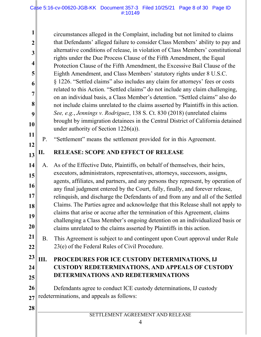circumstances alleged in the Complaint, including but not limited to claims that Defendants' alleged failure to consider Class Members' ability to pay and alternative conditions of release, in violation of Class Members' constitutional rights under the Due Process Clause of the Fifth Amendment, the Equal Protection Clause of the Fifth Amendment, the Excessive Bail Clause of the Eighth Amendment, and Class Members' statutory rights under 8 U.S.C. § 1226. "Settled claims" also includes any claim for attorneys' fees or costs related to this Action. "Settled claims" do not include any claim challenging, on an individual basis, a Class Member's detention. "Settled claims" also do not include claims unrelated to the claims asserted by Plaintiffs in this action. *See, e.g.*, *Jennings v. Rodriguez*, 138 S. Ct. 830 (2018) (unrelated claims brought by immigration detainees in the Central District of California detained under authority of Section 1226(a)).

P. "Settlement" means the settlement provided for in this Agreement.

#### **13 II. RELEASE: SCOPE AND EFFECT OF RELEASE**

**14 15 16 17 18 19 20** A. As of the Effective Date, Plaintiffs, on behalf of themselves, their heirs, executors, administrators, representatives, attorneys, successors, assigns, agents, affiliates, and partners, and any persons they represent, by operation of any final judgment entered by the Court, fully, finally, and forever release, relinquish, and discharge the Defendants of and from any and all of the Settled Claims. The Parties agree and acknowledge that this Release shall not apply to claims that arise or accrue after the termination of this Agreement, claims challenging a Class Member's ongoing detention on an individualized basis or claims unrelated to the claims asserted by Plaintiffs in this action.

**21 22** B. This Agreement is subject to and contingent upon Court approval under Rule 23(e) of the Federal Rules of Civil Procedure.

## **23 24**

**25**

**1**

**2**

**3**

**4**

**5**

**6**

**7** 

**8**

**9**

**10**

**11**

**12**

## **III. PROCEDURES FOR ICE CUSTODY DETERMINATIONS, IJ CUSTODY REDETERMINATIONS, AND APPEALS OF CUSTODY DETERMINATIONS AND REDETERMINATIONS**

**26 27** Defendants agree to conduct ICE custody determinations, IJ custody redeterminations, and appeals as follows:

## **28**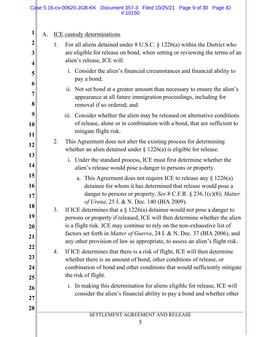#### Case 5:16-cv-00620-JGB-KK Document 357-3 Filed 10/25/21 Page 9 of 30 Page ID #:10150

| 1                       | A. |    | <b>ICE</b> custody determinations                                                                                                                                          |
|-------------------------|----|----|----------------------------------------------------------------------------------------------------------------------------------------------------------------------------|
| $\overline{\mathbf{2}}$ |    | 1. | For all aliens detained under $8$ U.S.C. $\S$ 1226(a) within the District who                                                                                              |
| 3                       |    |    | are eligible for release on bond, when setting or reviewing the terms of an<br>alien's release, ICE will:                                                                  |
| $\overline{\mathbf{4}}$ |    |    | i. Consider the alien's financial circumstances and financial ability to                                                                                                   |
| 5<br>6                  |    |    | pay a bond;                                                                                                                                                                |
| 7<br>8                  |    |    | ii. Not set bond at a greater amount than necessary to ensure the alien's<br>appearance at all future immigration proceedings, including for<br>removal if so ordered; and |
| 9                       |    |    | Consider whether the alien may be released on alternative conditions<br>$\dddot{\mathbf{m}}$ .                                                                             |
| 10                      |    |    | of release, alone or in combination with a bond, that are sufficient to<br>mitigate flight risk.                                                                           |
| 11                      |    | 2. | This Agreement does not alter the existing process for determining                                                                                                         |
| 12                      |    |    | whether an alien detained under $\S 1226(a)$ is eligible for release.                                                                                                      |
| 13                      |    |    | i. Under the standard process, ICE must first determine whether the                                                                                                        |
| 14                      |    |    | alien's release would pose a danger to persons or property.                                                                                                                |
| 15                      |    |    | a. This Agreement does not require ICE to release any $\S 1226(a)$                                                                                                         |
| 16<br>17                |    |    | detainee for whom it has determined that release would pose a<br>danger to persons or property. See 8 C.F.R. § 236.1(c)(8); Matter                                         |
| 18                      |    |    | of Urena, 25 I. & N. Dec. 140 (BIA 2009).                                                                                                                                  |
| 19                      |    | 3. | If ICE determines that a $\S$ 1226(a) detainee would not pose a danger to<br>persons or property if released, ICE will then determine whether the alien                    |
| 20                      |    |    | is a flight risk. ICE may continue to rely on the non-exhaustive list of                                                                                                   |
| 21                      |    |    | factors set forth in Matter of Guerra, 24 I. & N. Dec. 37 (BIA 2006), and<br>any other provision of law as appropriate, to assess an alien's flight risk.                  |
| 22<br>23                |    | 4. | If ICE determines that there is a risk of flight, ICE will then determine                                                                                                  |
| 24                      |    |    | whether there is an amount of bond, other conditions of release, or<br>combination of bond and other conditions that would sufficiently mitigate                           |
| 25                      |    |    | the risk of flight.                                                                                                                                                        |
| 26                      |    |    | In making this determination for aliens eligible for release, ICE will<br>$\ddot{1}$ .                                                                                     |
| 27                      |    |    | consider the alien's financial ability to pay a bond and whether other                                                                                                     |
| 28                      |    |    |                                                                                                                                                                            |
|                         |    |    | SETTLEMENT AGREEMENT AND RELEASE                                                                                                                                           |
|                         |    |    | 5                                                                                                                                                                          |
|                         |    |    |                                                                                                                                                                            |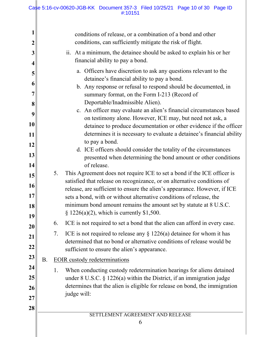#### Case 5:16-cv-00620-JGB-KK Document 357-3 Filed 10/25/21 Page 10 of 30 Page ID #:10151

| 2                                                                                       |           | conditions of release, or a combination of a bond and other<br>conditions, can sufficiently mitigate the risk of flight.                                                                                                                                                                                                                                                                                                                                                                                                                                                                                                                                                                                                                                                                                                                                                                                                                                                                                                                  |
|-----------------------------------------------------------------------------------------|-----------|-------------------------------------------------------------------------------------------------------------------------------------------------------------------------------------------------------------------------------------------------------------------------------------------------------------------------------------------------------------------------------------------------------------------------------------------------------------------------------------------------------------------------------------------------------------------------------------------------------------------------------------------------------------------------------------------------------------------------------------------------------------------------------------------------------------------------------------------------------------------------------------------------------------------------------------------------------------------------------------------------------------------------------------------|
| 3                                                                                       |           | ii. At a minimum, the detainee should be asked to explain his or her<br>financial ability to pay a bond.                                                                                                                                                                                                                                                                                                                                                                                                                                                                                                                                                                                                                                                                                                                                                                                                                                                                                                                                  |
| 4<br>5<br>6<br>$\overline{7}$<br>8<br>9<br>10<br>11<br>12<br>13<br>14<br>15<br>16<br>17 | 5.        | a. Officers have discretion to ask any questions relevant to the<br>detainee's financial ability to pay a bond.<br>b. Any response or refusal to respond should be documented, in<br>summary format, on the Form I-213 (Record of<br>Deportable/Inadmissible Alien).<br>c. An officer may evaluate an alien's financial circumstances based<br>on testimony alone. However, ICE may, but need not ask, a<br>detainee to produce documentation or other evidence if the officer<br>determines it is necessary to evaluate a detainee's financial ability<br>to pay a bond.<br>d. ICE officers should consider the totality of the circumstances<br>presented when determining the bond amount or other conditions<br>of release.<br>This Agreement does not require ICE to set a bond if the ICE officer is<br>satisfied that release on recognizance, or on alternative conditions of<br>release, are sufficient to ensure the alien's appearance. However, if ICE<br>sets a bond, with or without alternative conditions of release, the |
| 18<br>19                                                                                |           | minimum bond amount remains the amount set by statute at 8 U.S.C.<br>§ 1226(a)(2), which is currently \$1,500.                                                                                                                                                                                                                                                                                                                                                                                                                                                                                                                                                                                                                                                                                                                                                                                                                                                                                                                            |
| 20                                                                                      | 6.        | ICE is not required to set a bond that the alien can afford in every case.                                                                                                                                                                                                                                                                                                                                                                                                                                                                                                                                                                                                                                                                                                                                                                                                                                                                                                                                                                |
| 21<br>22                                                                                | 7.        | ICE is not required to release any $\S$ 1226(a) detainee for whom it has<br>determined that no bond or alternative conditions of release would be<br>sufficient to ensure the alien's appearance.                                                                                                                                                                                                                                                                                                                                                                                                                                                                                                                                                                                                                                                                                                                                                                                                                                         |
| 23                                                                                      | <b>B.</b> | <b>EOIR</b> custody redeterminations                                                                                                                                                                                                                                                                                                                                                                                                                                                                                                                                                                                                                                                                                                                                                                                                                                                                                                                                                                                                      |
| 24<br>25<br>26<br>27                                                                    | 1.        | When conducting custody redetermination hearings for aliens detained<br>under $8$ U.S.C. $\S$ 1226(a) within the District, if an immigration judge<br>determines that the alien is eligible for release on bond, the immigration<br>judge will:                                                                                                                                                                                                                                                                                                                                                                                                                                                                                                                                                                                                                                                                                                                                                                                           |
| 28                                                                                      |           | SETTLEMENT AGREEMENT AND RELEASE<br>6                                                                                                                                                                                                                                                                                                                                                                                                                                                                                                                                                                                                                                                                                                                                                                                                                                                                                                                                                                                                     |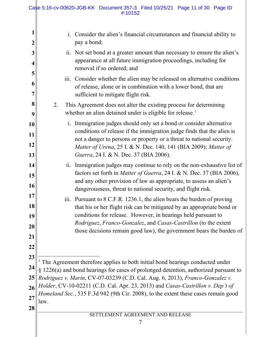<span id="page-10-0"></span>

| $\boldsymbol{2}$                       | Consider the alien's financial circumstances and financial ability to<br>1.<br>pay a bond;                                                                                                                                                                                                                                                                                                                                                         |
|----------------------------------------|----------------------------------------------------------------------------------------------------------------------------------------------------------------------------------------------------------------------------------------------------------------------------------------------------------------------------------------------------------------------------------------------------------------------------------------------------|
| 3<br>$\overline{\mathbf{4}}$           | ii. Not set bond at a greater amount than necessary to ensure the alien's<br>appearance at all future immigration proceedings, including for<br>removal if so ordered; and                                                                                                                                                                                                                                                                         |
| 5<br>6<br>7                            | $\overline{\text{iii}}$ .<br>Consider whether the alien may be released on alternative conditions<br>of release, alone or in combination with a lower bond, that are<br>sufficient to mitigate flight risk.                                                                                                                                                                                                                                        |
| 8<br>9                                 | This Agreement does not alter the existing process for determining<br>2.<br>whether an alien detained under is eligible for release. <sup>1</sup>                                                                                                                                                                                                                                                                                                  |
| 10<br>11<br>12<br>13                   | Immigration judges should only set a bond or consider alternative<br>$\mathbf{i}$ .<br>conditions of release if the immigration judge finds that the alien is<br>not a danger to persons or property or a threat to national security.<br>Matter of Urena, 25 I. & N. Dec. 140, 141 (BIA 2009); Matter of<br>Guerra, 24 I. & N. Dec. 37 (BIA 2006).                                                                                                |
| 14<br>15<br>16                         | ii. Immigration judges may continue to rely on the non-exhaustive list of<br>factors set forth in Matter of Guerra, 24 I. & N. Dec. 37 (BIA 2006),<br>and any other provision of law as appropriate, to assess an alien's<br>dangerousness, threat to national security, and flight risk.                                                                                                                                                          |
| 17<br>18<br>19<br>20<br>21             | Pursuant to 8 C.F.R. 1236.1, the alien bears the burden of proving<br>$\overline{111}$ .<br>that his or her flight risk can be mitigated by an appropriate bond or<br>conditions for release. However, in hearings held pursuant to<br><i>Rodriguez, Franco-Gonzalez, and Casas-Castrillon (to the extent</i><br>those decisions remain good law), the government bears the burden of                                                              |
| 22<br>23<br>24<br>25<br>26<br>27<br>28 | <sup>1</sup> The Agreement therefore applies to both initial bond hearings conducted under<br>§ 1226(a) and bond hearings for cases of prolonged detention, authorized pursuant to<br>Rodriguez v. Marin, CV-07-03239 (C.D. Cal. Aug. 6, 2013), Franco-Gonzalez v.<br>Holder, CV-10-02211 (C.D. Cal. Apr. 23, 2013) and Casas-Castrillon v. Dep't of<br>Homeland Sec., 535 F.3d 942 (9th Cir. 2008), to the extent these cases remain good<br>law. |
|                                        | SETTLEMENT AGREEMENT AND RELEASE                                                                                                                                                                                                                                                                                                                                                                                                                   |
|                                        | 7                                                                                                                                                                                                                                                                                                                                                                                                                                                  |
|                                        |                                                                                                                                                                                                                                                                                                                                                                                                                                                    |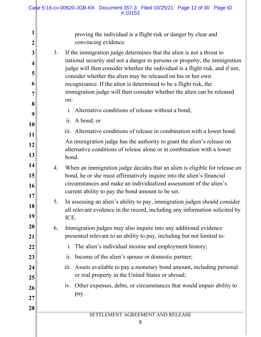| $\boldsymbol{2}$ |    | proving the individual is a flight risk or danger by clear and<br>convincing evidence.                                                                                                                                                                                         |
|------------------|----|--------------------------------------------------------------------------------------------------------------------------------------------------------------------------------------------------------------------------------------------------------------------------------|
| 3                | 3. | If the immigration judge determines that the alien is not a threat to<br>national security and not a danger to persons or property, the immigration                                                                                                                            |
| 4<br>5           |    | judge will then consider whether the individual is a flight risk, and if not,<br>consider whether the alien may be released on his or her own                                                                                                                                  |
| 6                |    | recognizance. If the alien is determined to be a flight risk, the<br>immigration judge will then consider whether the alien can be released                                                                                                                                    |
| 7<br>8           |    | on:                                                                                                                                                                                                                                                                            |
| 9                |    | Alternative conditions of release without a bond;<br>$\overline{1}$ .                                                                                                                                                                                                          |
| 10               |    | ii. A bond; or                                                                                                                                                                                                                                                                 |
| 11               |    | iii. Alternative conditions of release in combination with a lower bond.                                                                                                                                                                                                       |
| 12               |    | An immigration judge has the authority to grant the alien's release on                                                                                                                                                                                                         |
| 13               |    | alternative conditions of release alone or in combination with a lower<br>bond.                                                                                                                                                                                                |
| 14<br>15<br>16   | 4. | When an immigration judge decides that an alien is eligible for release on<br>bond, he or she must affirmatively inquire into the alien's financial<br>circumstances and make an individualized assessment of the alien's<br>current ability to pay the bond amount to be set. |
| 17<br>18<br>19   | 5. | In assessing an alien's ability to pay, immigration judges should consider<br>all relevant evidence in the record, including any information solicited by<br>ICE.                                                                                                              |
| <b>20</b><br>21  | 6. | Immigration judges may also inquire into any additional evidence<br>presented relevant to an ability to pay, including but not limited to:                                                                                                                                     |
| 22               |    | The alien's individual income and employment history;<br>$\mathbf{i}$ .                                                                                                                                                                                                        |
| 23               |    | Income of the alien's spouse or domestic partner;<br>11.                                                                                                                                                                                                                       |
| 24               |    | Assets available to pay a monetary bond amount, including personal<br>iii.<br>or real property in the United States or abroad;                                                                                                                                                 |
| 25               |    | iv. Other expenses, debts, or circumstances that would impair ability to                                                                                                                                                                                                       |
| 26               |    | pay.                                                                                                                                                                                                                                                                           |
| 27               |    |                                                                                                                                                                                                                                                                                |
| 28               |    | SETTLEMENT AGREEMENT AND RELEASE                                                                                                                                                                                                                                               |
|                  |    | 8                                                                                                                                                                                                                                                                              |

 $\parallel$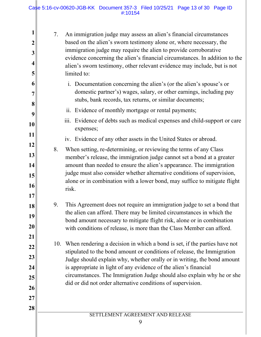Ш

| 1<br>$\overline{2}$<br>3<br>$\overline{\mathbf{4}}$<br>5 | 7.  | An immigration judge may assess an alien's financial circumstances<br>based on the alien's sworn testimony alone or, where necessary, the<br>immigration judge may require the alien to provide corroborative<br>evidence concerning the alien's financial circumstances. In addition to the<br>alien's sworn testimony, other relevant evidence may include, but is not<br>limited to: |
|----------------------------------------------------------|-----|-----------------------------------------------------------------------------------------------------------------------------------------------------------------------------------------------------------------------------------------------------------------------------------------------------------------------------------------------------------------------------------------|
| 6<br>7<br>8                                              |     | i. Documentation concerning the alien's (or the alien's spouse's or<br>domestic partner's) wages, salary, or other earnings, including pay<br>stubs, bank records, tax returns, or similar documents;                                                                                                                                                                                   |
| 9                                                        |     | ii. Evidence of monthly mortgage or rental payments;                                                                                                                                                                                                                                                                                                                                    |
| 10                                                       |     | $\overline{\text{iii}}$ .<br>Evidence of debts such as medical expenses and child-support or care<br>expenses;                                                                                                                                                                                                                                                                          |
| 11                                                       |     | iv. Evidence of any other assets in the United States or abroad.                                                                                                                                                                                                                                                                                                                        |
| 12<br>13                                                 | 8.  | When setting, re-determining, or reviewing the terms of any Class                                                                                                                                                                                                                                                                                                                       |
| 14                                                       |     | member's release, the immigration judge cannot set a bond at a greater<br>amount than needed to ensure the alien's appearance. The immigration                                                                                                                                                                                                                                          |
| 15                                                       |     | judge must also consider whether alternative conditions of supervision,<br>alone or in combination with a lower bond, may suffice to mitigate flight                                                                                                                                                                                                                                    |
| 16<br>17                                                 |     | risk.                                                                                                                                                                                                                                                                                                                                                                                   |
| 18                                                       | 9.  | This Agreement does not require an immigration judge to set a bond that                                                                                                                                                                                                                                                                                                                 |
| 19                                                       |     | the alien can afford. There may be limited circumstances in which the                                                                                                                                                                                                                                                                                                                   |
| 20                                                       |     | bond amount necessary to mitigate flight risk, alone or in combination<br>with conditions of release, is more than the Class Member can afford.                                                                                                                                                                                                                                         |
| 21                                                       |     |                                                                                                                                                                                                                                                                                                                                                                                         |
| 22                                                       | 10. | When rendering a decision in which a bond is set, if the parties have not<br>stipulated to the bond amount or conditions of release, the Immigration                                                                                                                                                                                                                                    |
| 23                                                       |     | Judge should explain why, whether orally or in writing, the bond amount                                                                                                                                                                                                                                                                                                                 |
| 24                                                       |     | is appropriate in light of any evidence of the alien's financial<br>circumstances. The Immigration Judge should also explain why he or she                                                                                                                                                                                                                                              |
| 25                                                       |     | did or did not order alternative conditions of supervision.                                                                                                                                                                                                                                                                                                                             |
| 26                                                       |     |                                                                                                                                                                                                                                                                                                                                                                                         |
| 27<br>28                                                 |     |                                                                                                                                                                                                                                                                                                                                                                                         |
|                                                          |     | SETTLEMENT AGREEMENT AND RELEASE                                                                                                                                                                                                                                                                                                                                                        |
|                                                          |     | 9                                                                                                                                                                                                                                                                                                                                                                                       |
|                                                          |     |                                                                                                                                                                                                                                                                                                                                                                                         |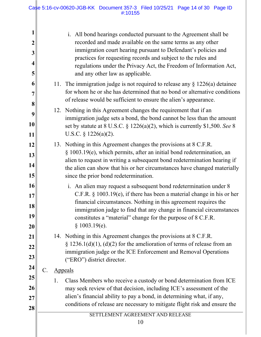| 1<br>$\boldsymbol{2}$<br>3<br>4<br>5 |       |    | i. All bond hearings conducted pursuant to the Agreement shall be<br>recorded and made available on the same terms as any other<br>immigration court hearing pursuant to Defendant's policies and<br>practices for requesting records and subject to the rules and<br>regulations under the Privacy Act, the Freedom of Information Act,<br>and any other law as applicable.                                                                                                                                             |
|--------------------------------------|-------|----|--------------------------------------------------------------------------------------------------------------------------------------------------------------------------------------------------------------------------------------------------------------------------------------------------------------------------------------------------------------------------------------------------------------------------------------------------------------------------------------------------------------------------|
| 6<br>7<br>8<br>9<br>10               |       |    | 11. The immigration judge is not required to release any $\S 1226(a)$ detainee<br>for whom he or she has determined that no bond or alternative conditions<br>of release would be sufficient to ensure the alien's appearance.<br>12. Nothing in this Agreement changes the requirement that if an<br>immigration judge sets a bond, the bond cannot be less than the amount<br>set by statute at 8 U.S.C. $\S$ 1226(a)(2), which is currently \$1,500. See 8                                                            |
| 11<br>12<br>13<br>14<br>15<br>16     |       |    | U.S.C. $\S$ 1226(a)(2).<br>13. Nothing in this Agreement changes the provisions at 8 C.F.R.<br>§ 1003.19(e), which permits, after an initial bond redetermination, an<br>alien to request in writing a subsequent bond redetermination hearing if<br>the alien can show that his or her circumstances have changed materially<br>since the prior bond redetermination.<br>i. An alien may request a subsequent bond redetermination under 8<br>C.F.R. $\S$ 1003.19(e), if there has been a material change in his or her |
| 17<br>18<br>19<br>20<br>21           |       |    | financial circumstances. Nothing in this agreement requires the<br>immigration judge to find that any change in financial circumstances<br>constitutes a "material" change for the purpose of 8 C.F.R.<br>§ 1003.19(e).<br>14. Nothing in this Agreement changes the provisions at 8 C.F.R.                                                                                                                                                                                                                              |
| 22<br>23<br>24                       | $C$ . |    | § 1236.1(d)(1), (d)(2) for the amelioration of terms of release from an<br>immigration judge or the ICE Enforcement and Removal Operations<br>("ERO") district director.<br><b>Appeals</b>                                                                                                                                                                                                                                                                                                                               |
| 25<br>26<br>27<br>28                 |       | 1. | Class Members who receive a custody or bond determination from ICE<br>may seek review of that decision, including ICE's assessment of the<br>alien's financial ability to pay a bond, in determining what, if any,<br>conditions of release are necessary to mitigate flight risk and ensure the<br>SETTLEMENT AGREEMENT AND RELEASE<br>10                                                                                                                                                                               |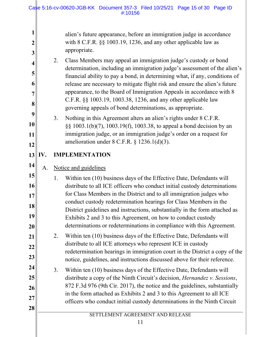**1 2 3 4 5 6 7 8 9 10 11 12**  $13$  IV. **14 15 16 17 18 19 20 21 22 23 24 25 26 27 28**  SETTLEMENT AGREEMENT AND RELEASE alien's future appearance, before an immigration judge in accordance with 8 C.F.R.  $\S$ § 1003.19, 1236, and any other applicable law as appropriate. 2. Class Members may appeal an immigration judge's custody or bond determination, including an immigration judge's assessment of the alien's financial ability to pay a bond, in determining what, if any, conditions of release are necessary to mitigate flight risk and ensure the alien's future appearance, to the Board of Immigration Appeals in accordance with 8 C.F.R. §§ 1003.19, 1003.38, 1236, and any other applicable law governing appeals of bond determinations, as appropriate. 3. Nothing in this Agreement alters an alien's rights under 8 C.F.R. §§ 1003.1(b)(7), 1003.19(f), 1003.38, to appeal a bond decision by an immigration judge, or an immigration judge's order on a request for amelioration under 8 C.F.R. § 1236.1(d)(3). **IMPLEMENTATION** A. Notice and guidelines 1. Within ten (10) business days of the Effective Date, Defendants will distribute to all ICE officers who conduct initial custody determinations for Class Members in the District and to all immigration judges who conduct custody redetermination hearings for Class Members in the District guidelines and instructions, substantially in the form attached as Exhibits 2 and 3 to this Agreement, on how to conduct custody determinations or redeterminations in compliance with this Agreement. 2. Within ten (10) business days of the Effective Date, Defendants will distribute to all ICE attorneys who represent ICE in custody redetermination hearings in immigration court in the District a copy of the notice, guidelines, and instructions discussed above for their reference. 3. Within ten (10) business days of the Effective Date, Defendants will distribute a copy of the Ninth Circuit's decision, *Hernandez v. Sessions*, 872 F.3d 976 (9th Cir. 2017), the notice and the guidelines, substantially in the form attached as Exhibits 2 and 3 to this Agreement to all ICE officers who conduct initial custody determinations in the Ninth Circuit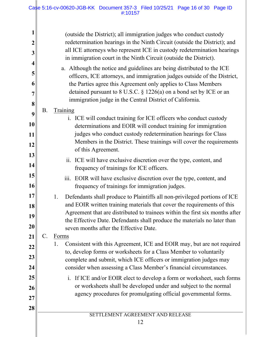#### Case 5:16-cv-00620-JGB-KK Document 357-3 Filed 10/25/21 Page 16 of 30 Page ID #:10157

|                  | (outside the District); all immigration judges who conduct custody                                                                           |
|------------------|----------------------------------------------------------------------------------------------------------------------------------------------|
| $\boldsymbol{2}$ | redetermination hearings in the Ninth Circuit (outside the District); and                                                                    |
| 3                | all ICE attorneys who represent ICE in custody redetermination hearings<br>in immigration court in the Ninth Circuit (outside the District). |
| 4                | a. Although the notice and guidelines are being distributed to the ICE                                                                       |
| 5                | officers, ICE attorneys, and immigration judges outside of the District,                                                                     |
| 6                | the Parties agree this Agreement only applies to Class Members                                                                               |
| 7                | detained pursuant to $8$ U.S.C. $\S$ 1226(a) on a bond set by ICE or an                                                                      |
| 8                | immigration judge in the Central District of California.                                                                                     |
|                  | Β.<br><b>Training</b>                                                                                                                        |
| 9                | i. ICE will conduct training for ICE officers who conduct custody                                                                            |
| 10               | determinations and EOIR will conduct training for immigration                                                                                |
| 11               | judges who conduct custody redetermination hearings for Class                                                                                |
| 12               | Members in the District. These trainings will cover the requirements                                                                         |
| 13               | of this Agreement.                                                                                                                           |
|                  | ii. ICE will have exclusive discretion over the type, content, and                                                                           |
| 14               | frequency of trainings for ICE officers.                                                                                                     |
| 15               | iii.<br>EOIR will have exclusive discretion over the type, content, and                                                                      |
| 16               | frequency of trainings for immigration judges.                                                                                               |
| 17               | Defendants shall produce to Plaintiffs all non-privileged portions of ICE<br>1.                                                              |
| 18               | and EOIR written training materials that cover the requirements of this                                                                      |
| 19               | Agreement that are distributed to trainees within the first six months after                                                                 |
|                  | the Effective Date. Defendants shall produce the materials no later than                                                                     |
| 20               | seven months after the Effective Date.                                                                                                       |
| 21               | C.<br>Forms                                                                                                                                  |
| 22               | Consistent with this Agreement, ICE and EOIR may, but are not required<br>1.                                                                 |
| 23               | to, develop forms or worksheets for a Class Member to voluntarily                                                                            |
| 24               | complete and submit, which ICE officers or immigration judges may<br>consider when assessing a Class Member's financial circumstances.       |
| 25               | If ICE and/or EOIR elect to develop a form or worksheet, such forms<br>$\mathbf{i}$ .                                                        |
| 26               | or worksheets shall be developed under and subject to the normal                                                                             |
|                  | agency procedures for promulgating official governmental forms.                                                                              |
| 27               |                                                                                                                                              |
| 28               |                                                                                                                                              |
|                  | SETTLEMENT AGREEMENT AND RELEASE<br>12                                                                                                       |
|                  |                                                                                                                                              |
|                  |                                                                                                                                              |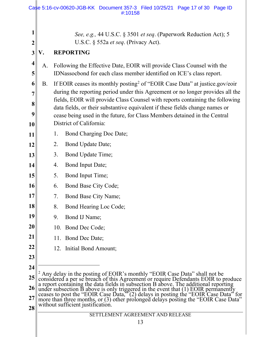<span id="page-16-0"></span>

|                         |           |    | Case 5:16-cv-00620-JGB-KK Document 357-3 Filed 10/25/21 Page 17 of 30 Page ID<br>#:10158                                                                                                                                             |
|-------------------------|-----------|----|--------------------------------------------------------------------------------------------------------------------------------------------------------------------------------------------------------------------------------------|
| 1<br>$\overline{2}$     |           |    | See, e.g., 44 U.S.C. § 3501 et seq. (Paperwork Reduction Act); 5<br>U.S.C. § 552a et seq. (Privacy Act).                                                                                                                             |
| 3                       | V.        |    | <b>REPORTING</b>                                                                                                                                                                                                                     |
| $\overline{\mathbf{4}}$ |           |    |                                                                                                                                                                                                                                      |
| 5                       | A.        |    | Following the Effective Date, EOIR will provide Class Counsel with the<br>IDNassocbond for each class member identified on ICE's class report.                                                                                       |
| 6                       | <b>B.</b> |    | If EOIR ceases its monthly posting <sup>2</sup> of "EOIR Case Data" at justice.gov/eoir                                                                                                                                              |
| 7                       |           |    | during the reporting period under this Agreement or no longer provides all the<br>fields, EOIR will provide Class Counsel with reports containing the following                                                                      |
| 8<br>9                  |           |    | data fields, or their substantive equivalent if these fields change names or                                                                                                                                                         |
| 10                      |           |    | cease being used in the future, for Class Members detained in the Central<br>District of California:                                                                                                                                 |
| 11                      |           | 1. | Bond Charging Doc Date;                                                                                                                                                                                                              |
| 12                      |           | 2. | Bond Update Date;                                                                                                                                                                                                                    |
| 13                      |           | 3. | Bond Update Time;                                                                                                                                                                                                                    |
| 14                      |           | 4. | Bond Input Date;                                                                                                                                                                                                                     |
| 15                      |           | 5. | Bond Input Time;                                                                                                                                                                                                                     |
| 16                      |           | 6. | Bond Base City Code;                                                                                                                                                                                                                 |
| 17                      |           | 7. | <b>Bond Base City Name;</b>                                                                                                                                                                                                          |
| 18                      |           | 8. | Bond Hearing Loc Code;                                                                                                                                                                                                               |
| 19                      |           | 9. | Bond IJ Name;                                                                                                                                                                                                                        |
| 20                      |           |    | 10. Bond Dec Code;                                                                                                                                                                                                                   |
| 21                      |           |    | 11. Bond Dec Date;                                                                                                                                                                                                                   |
| 22                      |           |    | 12. Initial Bond Amount;                                                                                                                                                                                                             |
| 23                      |           |    |                                                                                                                                                                                                                                      |
| 24                      |           |    | $2$ Any delay in the posting of EOIR's monthly "EOIR Case Data" shall not be                                                                                                                                                         |
| 25<br>26                |           |    | considered a per se breach of this Agreement or require Defendants EOIR to produce<br>a report containing the data fields in subsection B above. The additional reporting                                                            |
| 27                      |           |    | under subsection B above is only triggered in the event that (1) EOIR permanently<br>ceases to post the "EOIR Case Data," (2) delays in posting the "EOIR Case Data" for<br>more than three months, or (3) other prolonged delays po |
| 28                      |           |    | without sufficient justification.                                                                                                                                                                                                    |
|                         |           |    | SETTLEMENT AGREEMENT AND RELEASE                                                                                                                                                                                                     |
|                         |           |    | 13                                                                                                                                                                                                                                   |
|                         |           |    |                                                                                                                                                                                                                                      |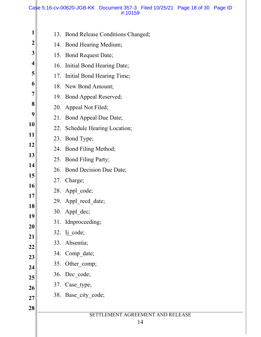#### Case 5:16-cv-00620-JGB-KK Document 357-3 Filed 10/25/21 Page 18 of 30 Page ID #:10159

| 1                       |     | 13. Bond Release Conditions Changed; |
|-------------------------|-----|--------------------------------------|
| $\boldsymbol{2}$        |     | 14. Bond Hearing Medium;             |
| 3                       |     | 15. Bond Request Date;               |
| $\overline{\mathbf{4}}$ |     | 16. Initial Bond Hearing Date;       |
| 5                       |     | 17. Initial Bond Hearing Time;       |
| 6                       |     | 18. New Bond Amount;                 |
| 7                       |     | 19. Bond Appeal Reserved;            |
| 8                       |     | 20. Appeal Not Filed;                |
| 9                       |     | 21. Bond Appeal Due Date;            |
| 10                      |     | 22. Schedule Hearing Location;       |
| 11                      |     | 23. Bond Type;                       |
| 12                      |     | 24. Bond Filing Method;              |
| 13                      |     | 25. Bond Filing Party;               |
| 14                      |     | 26. Bond Decision Due Date;          |
| 15                      |     | 27. Charge;                          |
| <b>16</b><br>17         |     | 28. Appl_code;                       |
| 18                      |     | 29. Appl recd date;                  |
| 19                      |     | 30. Appl dec;                        |
| 20                      |     | 31. Idnproceeding;                   |
| 21                      |     | $32.$ Ij_code;                       |
| 22                      | 33. | Absentia;                            |
| 23                      |     | 34. Comp date;                       |
| 24                      |     | 35. Other_comp;                      |
| 25                      |     | 36. Dec_code;                        |
| 26                      |     | 37. Case_type;                       |
| 27                      |     | 38. Base_city_code;                  |
| 28                      |     |                                      |
|                         |     | SETTLEMENT AGREEMENT AND RELEASE     |
|                         |     | 14                                   |

 $\parallel$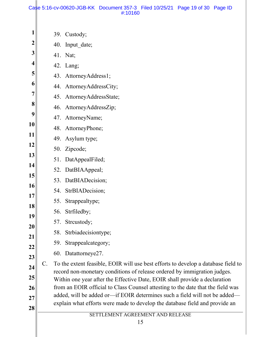#### Case 5:16-cv-00620-JGB-KK Document 357-3 Filed 10/25/21 Page 19 of 30 Page ID #:10160

| 1                       |                | 39. Custody;                                                                                                                                           |
|-------------------------|----------------|--------------------------------------------------------------------------------------------------------------------------------------------------------|
| $\boldsymbol{2}$        |                | 40. Input date;                                                                                                                                        |
| 3                       |                | 41. Nat;                                                                                                                                               |
| $\overline{\mathbf{4}}$ |                | 42. Lang;                                                                                                                                              |
| 5                       |                | 43. AttorneyAddress1;                                                                                                                                  |
| 6                       |                | 44. AttorneyAddressCity;                                                                                                                               |
| $\overline{7}$          |                | 45. AttorneyAddressState;                                                                                                                              |
| 8                       |                | 46. AttorneyAddressZip;                                                                                                                                |
| 9                       |                | 47. AttorneyName;                                                                                                                                      |
| 10                      |                | 48. AttorneyPhone;                                                                                                                                     |
| 11                      |                | 49. Asylum type;                                                                                                                                       |
| 12                      |                | 50. Zipcode;                                                                                                                                           |
| 13                      |                | 51. DatAppealFiled;                                                                                                                                    |
| 14                      |                | 52. DatBIAAppeal;                                                                                                                                      |
| 15                      |                | 53. DatBIADecision;                                                                                                                                    |
| 16<br>17                |                | 54. StrBIADecision;                                                                                                                                    |
| 18                      |                | 55. Strappealtype;                                                                                                                                     |
| 19                      |                | 56. Strfiledby;                                                                                                                                        |
| 20                      |                | 57. Strcustody;                                                                                                                                        |
| 21                      |                | 58. Strbiadecisiontype;                                                                                                                                |
| 22                      |                | 59. Strappealcategory;                                                                                                                                 |
| 23                      |                | 60. Datattorneye27.                                                                                                                                    |
| 24                      | $\mathsf{C}$ . | To the extent feasible, EOIR will use best efforts to develop a database field to                                                                      |
| 25                      |                | record non-monetary conditions of release ordered by immigration judges.<br>Within one year after the Effective Date, EOIR shall provide a declaration |
| 26                      |                | from an EOIR official to Class Counsel attesting to the date that the field was                                                                        |
| 27                      |                | added, will be added or-if EOIR determines such a field will not be added-                                                                             |
| 28                      |                | explain what efforts were made to develop the database field and provide an                                                                            |
|                         |                | SETTLEMENT AGREEMENT AND RELEASE<br>15                                                                                                                 |
|                         |                |                                                                                                                                                        |
|                         |                |                                                                                                                                                        |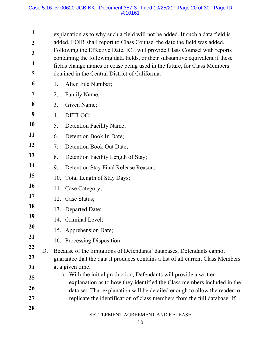explanation as to why such a field will not be added. If such a data field is added, EOIR shall report to Class Counsel the date the field was added. Following the Effective Date, ICE will provide Class Counsel with reports containing the following data fields, or their substantive equivalent if these fields change names or cease being used in the future, for Class Members detained in the Central District of California:

- **6 7**  1. Alien File Number; 2. Family Name;
- **8** 3. Given Name;
- **9** 4. DETLOC;

**1**

**2**

**3**

**4**

**5**

**21**

**28** 

- **10** 5. Detention Facility Name;
- **11** 6. Detention Book In Date;
- **12** 7. Detention Book Out Date;
- **13** 8. Detention Facility Length of Stay;
- **14** 9. Detention Stay Final Release Reason;
- **15** 10. Total Length of Stay Days;
- **16** 11. Case Category;
- **17** 12. Case Status;
- **18** 13. Departed Date;
- **19** 14. Criminal Level;
- **20** 15. Apprehension Date;
	- 16. Processing Disposition.
- **22 23 24** D. Because of the limitations of Defendants' databases, Defendants cannot guarantee that the data it produces contains a list of all current Class Members at a given time.
- **25 26 27** a. With the initial production, Defendants will provide a written explanation as to how they identified the Class members included in the data set. That explanation will be detailed enough to allow the reader to replicate the identification of class members from the full database. If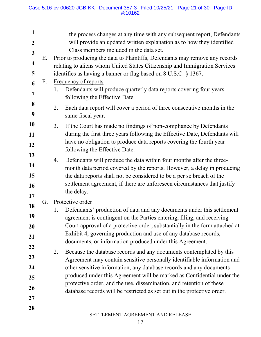|                                                                                                                |          | Case 5:16-cv-00620-JGB-KK Document 357-3 Filed 10/25/21 Page 21 of 30 Page ID<br>#:10162                                                                                                                                                                                                                                                                                                                                                                                                                                                                                                                                                                                                                                                                                                                                                              |
|----------------------------------------------------------------------------------------------------------------|----------|-------------------------------------------------------------------------------------------------------------------------------------------------------------------------------------------------------------------------------------------------------------------------------------------------------------------------------------------------------------------------------------------------------------------------------------------------------------------------------------------------------------------------------------------------------------------------------------------------------------------------------------------------------------------------------------------------------------------------------------------------------------------------------------------------------------------------------------------------------|
| 1<br>$\overline{2}$<br>3<br>$\overline{\mathbf{4}}$<br>5<br>6<br>7                                             | Ε.<br>F. | the process changes at any time with any subsequent report, Defendants<br>will provide an updated written explanation as to how they identified<br>Class members included in the data set.<br>Prior to producing the data to Plaintiffs, Defendants may remove any records<br>relating to aliens whom United States Citizenship and Immigration Services<br>identifies as having a banner or flag based on 8 U.S.C. § 1367.<br>Frequency of reports<br>Defendants will produce quarterly data reports covering four years<br>1.<br>following the Effective Date.                                                                                                                                                                                                                                                                                      |
| 8<br>9                                                                                                         |          | Each data report will cover a period of three consecutive months in the<br>2.<br>same fiscal year.                                                                                                                                                                                                                                                                                                                                                                                                                                                                                                                                                                                                                                                                                                                                                    |
| 10<br>11<br>12<br>13<br>14<br>15<br>16<br>17<br>18<br>19<br>20<br>21<br>22<br>23<br>24<br>25<br>26<br>27<br>28 | G.       | 3.<br>If the Court has made no findings of non-compliance by Defendants<br>during the first three years following the Effective Date, Defendants will<br>have no obligation to produce data reports covering the fourth year<br>following the Effective Date.<br>Defendants will produce the data within four months after the three-<br>4.<br>month data period covered by the reports. However, a delay in producing<br>the data reports shall not be considered to be a per se breach of the<br>settlement agreement, if there are unforeseen circumstances that justify<br>the delay.                                                                                                                                                                                                                                                             |
|                                                                                                                |          | Protective order<br>Defendants' production of data and any documents under this settlement<br>1.<br>agreement is contingent on the Parties entering, filing, and receiving<br>Court approval of a protective order, substantially in the form attached at<br>Exhibit 4, governing production and use of any database records,<br>documents, or information produced under this Agreement.<br>2.<br>Because the database records and any documents contemplated by this<br>Agreement may contain sensitive personally identifiable information and<br>other sensitive information, any database records and any documents<br>produced under this Agreement will be marked as Confidential under the<br>protective order, and the use, dissemination, and retention of these<br>database records will be restricted as set out in the protective order. |
|                                                                                                                |          | SETTLEMENT AGREEMENT AND RELEASE<br>17                                                                                                                                                                                                                                                                                                                                                                                                                                                                                                                                                                                                                                                                                                                                                                                                                |

∥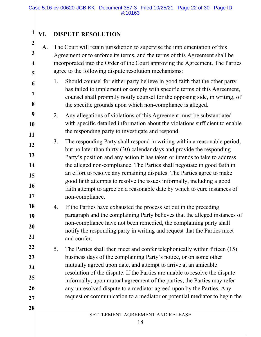## **VI. DISPUTE RESOLUTION**

**1**

**2**

**3**

**4**

**5**

**6**

**7** 

**8**

**28** 

A. The Court will retain jurisdiction to supervise the implementation of this Agreement or to enforce its terms, and the terms of this Agreement shall be incorporated into the Order of the Court approving the Agreement. The Parties agree to the following dispute resolution mechanisms:

- 1. Should counsel for either party believe in good faith that the other party has failed to implement or comply with specific terms of this Agreement, counsel shall promptly notify counsel for the opposing side, in writing, of the specific grounds upon which non-compliance is alleged.
- **9 10 11** 2. Any allegations of violations of this Agreement must be substantiated with specific detailed information about the violations sufficient to enable the responding party to investigate and respond.
- **12 13 14 15 16 17** 3. The responding Party shall respond in writing within a reasonable period, but no later than thirty (30) calendar days and provide the responding Party's position and any action it has taken or intends to take to address the alleged non-compliance. The Parties shall negotiate in good faith in an effort to resolve any remaining disputes. The Parties agree to make good faith attempts to resolve the issues informally, including a good faith attempt to agree on a reasonable date by which to cure instances of non-compliance.
- **18 19 20 21** 4. If the Parties have exhausted the process set out in the preceding paragraph and the complaining Party believes that the alleged instances of non-compliance have not been remedied, the complaining party shall notify the responding party in writing and request that the Parties meet and confer.
- **22 23 24 25 26 27** 5. The Parties shall then meet and confer telephonically within fifteen (15) business days of the complaining Party's notice, or on some other mutually agreed upon date, and attempt to arrive at an amicable resolution of the dispute. If the Parties are unable to resolve the dispute informally, upon mutual agreement of the parties, the Parties may refer any unresolved dispute to a mediator agreed upon by the Parties. Any request or communication to a mediator or potential mediator to begin the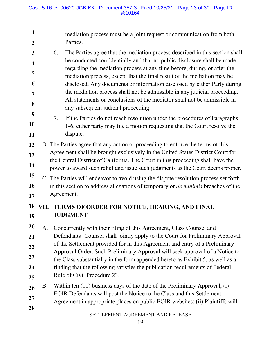**1 2 3 4 5 6 7 8 9 10 11 12 13 14 15 16 17 18 VII. TERMS OF ORDER FOR NOTICE, HEARING, AND FINAL 19 20 21 22 23 24 25 26 27 28**  SETTLEMENT AGREEMENT AND RELEASE mediation process must be a joint request or communication from both Parties. 6. The Parties agree that the mediation process described in this section shall be conducted confidentially and that no public disclosure shall be made regarding the mediation process at any time before, during, or after the mediation process, except that the final result of the mediation may be disclosed. Any documents or information disclosed by either Party during the mediation process shall not be admissible in any judicial proceeding. All statements or conclusions of the mediator shall not be admissible in any subsequent judicial proceeding. 7. If the Parties do not reach resolution under the procedures of Paragraphs 1-6, either party may file a motion requesting that the Court resolve the dispute. B. The Parties agree that any action or proceeding to enforce the terms of this Agreement shall be brought exclusively in the United States District Court for the Central District of California. The Court in this proceeding shall have the power to award such relief and issue such judgments as the Court deems proper. C. The Parties will endeavor to avoid using the dispute resolution process set forth in this section to address allegations of temporary or *de minimis* breaches of the Agreement. **JUDGMENT** A. Concurrently with their filing of this Agreement, Class Counsel and Defendants' Counsel shall jointly apply to the Court for Preliminary Approval of the Settlement provided for in this Agreement and entry of a Preliminary Approval Order. Such Preliminary Approval will seek approval of a Notice to the Class substantially in the form appended hereto as Exhibit 5, as well as a finding that the following satisfies the publication requirements of Federal Rule of Civil Procedure 23. B. Within ten (10) business days of the date of the Preliminary Approval, (i) EOIR Defendants will post the Notice to the Class and this Settlement Agreement in appropriate places on public EOIR websites; (ii) Plaintiffs will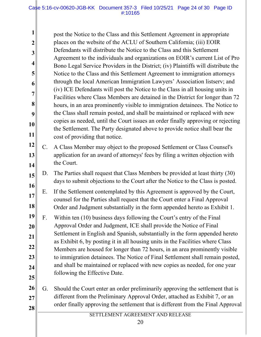**1 2 3 4 5 6 7 8 9 10 11** post the Notice to the Class and this Settlement Agreement in appropriate places on the website of the ACLU of Southern California; (iii) EOIR Defendants will distribute the Notice to the Class and this Settlement Agreement to the individuals and organizations on EOIR's current List of Pro Bono Legal Service Providers in the District; (iv) Plaintiffs will distribute the Notice to the Class and this Settlement Agreement to immigration attorneys through the local American Immigration Lawyers' Association listserv; and (iv) ICE Defendants will post the Notice to the Class in all housing units in Facilities where Class Members are detained in the District for longer than 72 hours, in an area prominently visible to immigration detainees. The Notice to the Class shall remain posted, and shall be maintained or replaced with new copies as needed, until the Court issues an order finally approving or rejecting the Settlement. The Party designated above to provide notice shall bear the cost of providing that notice.

- **12 13 14** C. A Class Member may object to the proposed Settlement or Class Counsel's application for an award of attorneys' fees by filing a written objection with the Court.
- **15 16** D. The Parties shall request that Class Members be provided at least thirty (30) days to submit objections to the Court after the Notice to the Class is posted.
- **17 18** E. If the Settlement contemplated by this Agreement is approved by the Court, counsel for the Parties shall request that the Court enter a Final Approval Order and Judgment substantially in the form appended hereto as Exhibit 1.

**19 20 21 22 23 24 25** F. Within ten (10) business days following the Court's entry of the Final Approval Order and Judgment, ICE shall provide the Notice of Final Settlement in English and Spanish, substantially in the form appended hereto as Exhibit 6, by posting it in all housing units in the Facilities where Class Members are housed for longer than 72 hours, in an area prominently visible to immigration detainees. The Notice of Final Settlement shall remain posted, and shall be maintained or replaced with new copies as needed, for one year following the Effective Date.

**26 27 28**  G. Should the Court enter an order preliminarily approving the settlement that is different from the Preliminary Approval Order, attached as Exhibit 7, or an order finally approving the settlement that is different from the Final Approval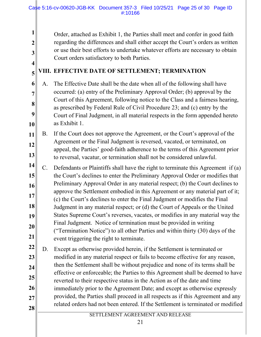Order, attached as Exhibit 1, the Parties shall meet and confer in good faith regarding the differences and shall either accept the Court's orders as written or use their best efforts to undertake whatever efforts are necessary to obtain Court orders satisfactory to both Parties.

## **4 5**

**6**

**7** 

**8**

**9**

**10**

**1**

**2**

**3**

## **VIII. EFFECTIVE DATE OF SETTLEMENT; TERMINATION**

A. The Effective Date shall be the date when all of the following shall have occurred: (a) entry of the Preliminary Approval Order; (b) approval by the Court of this Agreement, following notice to the Class and a fairness hearing, as prescribed by Federal Rule of Civil Procedure 23; and (c) entry by the Court of Final Judgment, in all material respects in the form appended hereto as Exhibit 1.

**11 12 13** B. If the Court does not approve the Agreement, or the Court's approval of the Agreement or the Final Judgment is reversed, vacated, or terminated, on appeal, the Parties' good-faith adherence to the terms of this Agreement prior to reversal, vacatur, or termination shall not be considered unlawful.

**14 15 16 17 18 19 20 21** C. Defendants or Plaintiffs shall have the right to terminate this Agreement if (a) the Court's declines to enter the Preliminary Approval Order or modifies that Preliminary Approval Order in any material respect; (b) the Court declines to approve the Settlement embodied in this Agreement or any material part of it; (c) the Court's declines to enter the Final Judgment or modifies the Final Judgment in any material respect; or (d) the Court of Appeals or the United States Supreme Court's reverses, vacates, or modifies in any material way the Final Judgment. Notice of termination must be provided in writing ("Termination Notice") to all other Parties and within thirty (30) days of the event triggering the right to terminate.

**22 23 24 25 26 27 28**  D. Except as otherwise provided herein, if the Settlement is terminated or modified in any material respect or fails to become effective for any reason, then the Settlement shall be without prejudice and none of its terms shall be effective or enforceable; the Parties to this Agreement shall be deemed to have reverted to their respective status in the Action as of the date and time immediately prior to the Agreement Date; and except as otherwise expressly provided, the Parties shall proceed in all respects as if this Agreement and any related orders had not been entered. If the Settlement is terminated or modified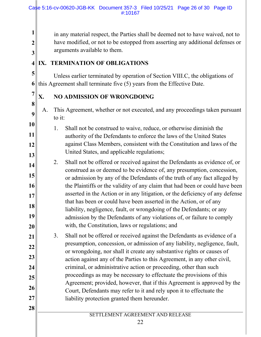in any material respect, the Parties shall be deemed not to have waived, not to have modified, or not to be estopped from asserting any additional defenses or arguments available to them.

## **4 IX. TERMINATION OF OBLIGATIONS**

**1**

**2**

**3**

**5**

**7** 

**8**

**9**

**10**

**11**

**12**

**13**

**28** 

**6** this Agreement shall terminate five (5) years from the Effective Date. Unless earlier terminated by operation of Section VIII.C, the obligations of

## **X. NO ADMISSION OF WRONGDOING**

- A. This Agreement, whether or not executed, and any proceedings taken pursuant to it:
- 1. Shall not be construed to waive, reduce, or otherwise diminish the authority of the Defendants to enforce the laws of the United States against Class Members, consistent with the Constitution and laws of the United States, and applicable regulations;
- **14 15 16 17 18 19 20** 2. Shall not be offered or received against the Defendants as evidence of, or construed as or deemed to be evidence of, any presumption, concession, or admission by any of the Defendants of the truth of any fact alleged by the Plaintiffs or the validity of any claim that had been or could have been asserted in the Action or in any litigation, or the deficiency of any defense that has been or could have been asserted in the Action, or of any liability, negligence, fault, or wrongdoing of the Defendants; or any admission by the Defendants of any violations of, or failure to comply with, the Constitution, laws or regulations; and
- **21 22 23 24 25 26 27** 3. Shall not be offered or received against the Defendants as evidence of a presumption, concession, or admission of any liability, negligence, fault, or wrongdoing, nor shall it create any substantive rights or causes of action against any of the Parties to this Agreement, in any other civil, criminal, or administrative action or proceeding, other than such proceedings as may be necessary to effectuate the provisions of this Agreement; provided, however, that if this Agreement is approved by the Court, Defendants may refer to it and rely upon it to effectuate the liability protection granted them hereunder.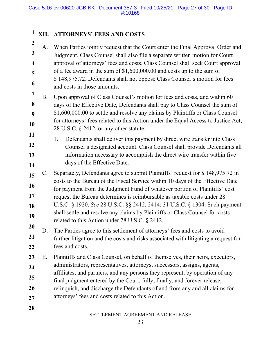## **XII. ATTORNEYS' FEES AND COSTS**

**1**

**2**

**3**

**4**

**5**

**6**

**28** 

- A. When Parties jointly request that the Court enter the Final Approval Order and Judgment, Class Counsel shall also file a separate written motion for Court approval of attorneys' fees and costs. Class Counsel shall seek Court approval of a fee award in the sum of \$1,600,000.00 and costs up to the sum of \$ 148,975.72. Defendants shall not oppose Class Counsel's motion for fees and costs in those amounts.
- **7 8 9 10** B. Upon approval of Class Counsel's motion for fees and costs, and within 60 days of the Effective Date, Defendants shall pay to Class Counsel the sum of \$1,600,000.00 to settle and resolve any claims by Plaintiffs or Class Counsel for attorneys' fees related to this Action under the Equal Access to Justice Act, 28 U.S.C. § 2412, or any other statute.
- **11 12 13 14** 1. Defendants shall deliver this payment by direct wire transfer into Class Counsel's designated account. Class Counsel shall provide Defendants all information necessary to accomplish the direct wire transfer within five days of the Effective Date.
- **15 16 17 18 19** C. Separately, Defendants agree to submit Plaintiffs' request for \$ 148,975.72 in costs to the Bureau of the Fiscal Service within 10 days of the Effective Date for payment from the Judgment Fund of whatever portion of Plaintiffs' cost request the Bureau determines is reimbursable as taxable costs under 28 U.S.C. § 1920. *See* 28 U.S.C. §§ 2412, 2414; 31 U.S.C. § 1304. Such payment shall settle and resolve any claims by Plaintiffs or Class Counsel for costs related to this Action under 28 U.S.C. § 2412.
- **20 21 22** D. The Parties agree to this settlement of attorneys' fees and costs to avoid further litigation and the costs and risks associated with litigating a request for fees and costs.
- **23 24 25 26 27** E. Plaintiffs and Class Counsel, on behalf of themselves, their heirs, executors, administrators, representatives, attorneys, successors, assigns, agents, affiliates, and partners, and any persons they represent, by operation of any final judgment entered by the Court, fully, finally, and forever release, relinquish, and discharge the Defendants of and from any and all claims for attorneys' fees and costs related to this Action.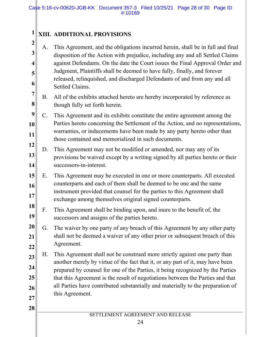#### **1 XIII. ADDITIONAL PROVISIONS**

**2**

**3**

**4**

**5**

**6**

**7** 

**28** 

A. This Agreement, and the obligations incurred herein, shall be in full and final disposition of the Action with prejudice, including any and all Settled Claims against Defendants. On the date the Court issues the Final Approval Order and Judgment, Plaintiffs shall be deemed to have fully, finally, and forever released, relinquished, and discharged Defendants of and from any and all Settled Claims.

- **8** B. All of the exhibits attached hereto are hereby incorporated by reference as though fully set forth herein.
- **9 10 11** C. This Agreement and its exhibits constitute the entire agreement among the Parties hereto concerning the Settlement of the Action, and no representations, warranties, or inducements have been made by any party hereto other than those contained and memorialized in such documents.
- **12 13 14** D. This Agreement may not be modified or amended, nor may any of its provisions be waived except by a writing signed by all parties hereto or their successors-in-interest.
- **15 16 17** E. This Agreement may be executed in one or more counterparts. All executed counterparts and each of them shall be deemed to be one and the same instrument provided that counsel for the parties to this Agreement shall exchange among themselves original signed counterparts.
- **18 19** F. This Agreement shall be binding upon, and inure to the benefit of, the successors and assigns of the parties hereto.
- **20 21 22** G. The waiver by one party of any breach of this Agreement by any other party shall not be deemed a waiver of any other prior or subsequent breach of this Agreement.
- **23 24 25 26 27** H. This Agreement shall not be construed more strictly against one party than another merely by virtue of the fact that it, or any part of it, may have been prepared by counsel for one of the Parties, it being recognized by the Parties that this Agreement is the result of negotiations between the Parties and that all Parties have contributed substantially and materially to the preparation of this Agreement.
	- SETTLEMENT AGREEMENT AND RELEASE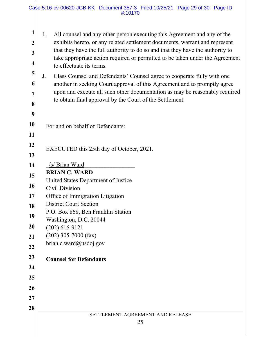#### Case 5:16-cv-00620-JGB-KK Document 357-3 Filed 10/25/21 Page 29 of 30 Page ID #:10170

| 1<br>$\boldsymbol{2}$<br>$\mathbf{3}$<br>$\overline{\mathbf{4}}$<br>5<br>6<br>7<br>8<br>9 | All counsel and any other person executing this Agreement and any of the<br>Ι.<br>exhibits hereto, or any related settlement documents, warrant and represent<br>that they have the full authority to do so and that they have the authority to<br>take appropriate action required or permitted to be taken under the Agreement<br>to effectuate its terms.<br>J.<br>Class Counsel and Defendants' Counsel agree to cooperate fully with one<br>another in seeking Court approval of this Agreement and to promptly agree<br>upon and execute all such other documentation as may be reasonably required<br>to obtain final approval by the Court of the Settlement. |  |  |
|-------------------------------------------------------------------------------------------|-----------------------------------------------------------------------------------------------------------------------------------------------------------------------------------------------------------------------------------------------------------------------------------------------------------------------------------------------------------------------------------------------------------------------------------------------------------------------------------------------------------------------------------------------------------------------------------------------------------------------------------------------------------------------|--|--|
| 10                                                                                        | For and on behalf of Defendants:                                                                                                                                                                                                                                                                                                                                                                                                                                                                                                                                                                                                                                      |  |  |
| 11                                                                                        |                                                                                                                                                                                                                                                                                                                                                                                                                                                                                                                                                                                                                                                                       |  |  |
| 12                                                                                        | EXECUTED this 25th day of October, 2021.                                                                                                                                                                                                                                                                                                                                                                                                                                                                                                                                                                                                                              |  |  |
| 13                                                                                        |                                                                                                                                                                                                                                                                                                                                                                                                                                                                                                                                                                                                                                                                       |  |  |
| 14                                                                                        | /s/ Brian Ward                                                                                                                                                                                                                                                                                                                                                                                                                                                                                                                                                                                                                                                        |  |  |
| 15                                                                                        | <b>BRIAN C. WARD</b><br>United States Department of Justice                                                                                                                                                                                                                                                                                                                                                                                                                                                                                                                                                                                                           |  |  |
| 16                                                                                        | Civil Division                                                                                                                                                                                                                                                                                                                                                                                                                                                                                                                                                                                                                                                        |  |  |
| 17                                                                                        | Office of Immigration Litigation                                                                                                                                                                                                                                                                                                                                                                                                                                                                                                                                                                                                                                      |  |  |
| 18                                                                                        | <b>District Court Section</b>                                                                                                                                                                                                                                                                                                                                                                                                                                                                                                                                                                                                                                         |  |  |
| 19                                                                                        | P.O. Box 868, Ben Franklin Station                                                                                                                                                                                                                                                                                                                                                                                                                                                                                                                                                                                                                                    |  |  |
| 20                                                                                        | Washington, D.C. 20044<br>$(202)$ 616-9121                                                                                                                                                                                                                                                                                                                                                                                                                                                                                                                                                                                                                            |  |  |
| 21                                                                                        | $(202)$ 305-7000 (fax)                                                                                                                                                                                                                                                                                                                                                                                                                                                                                                                                                                                                                                                |  |  |
| 22                                                                                        | brian.c.ward@usdoj.gov                                                                                                                                                                                                                                                                                                                                                                                                                                                                                                                                                                                                                                                |  |  |
| 23                                                                                        | <b>Counsel for Defendants</b>                                                                                                                                                                                                                                                                                                                                                                                                                                                                                                                                                                                                                                         |  |  |
| 24                                                                                        |                                                                                                                                                                                                                                                                                                                                                                                                                                                                                                                                                                                                                                                                       |  |  |
| 25                                                                                        |                                                                                                                                                                                                                                                                                                                                                                                                                                                                                                                                                                                                                                                                       |  |  |
| 26                                                                                        |                                                                                                                                                                                                                                                                                                                                                                                                                                                                                                                                                                                                                                                                       |  |  |
| 27                                                                                        |                                                                                                                                                                                                                                                                                                                                                                                                                                                                                                                                                                                                                                                                       |  |  |
| 28                                                                                        |                                                                                                                                                                                                                                                                                                                                                                                                                                                                                                                                                                                                                                                                       |  |  |
|                                                                                           | SETTLEMENT AGREEMENT AND RELEASE                                                                                                                                                                                                                                                                                                                                                                                                                                                                                                                                                                                                                                      |  |  |
|                                                                                           | 25                                                                                                                                                                                                                                                                                                                                                                                                                                                                                                                                                                                                                                                                    |  |  |
|                                                                                           |                                                                                                                                                                                                                                                                                                                                                                                                                                                                                                                                                                                                                                                                       |  |  |